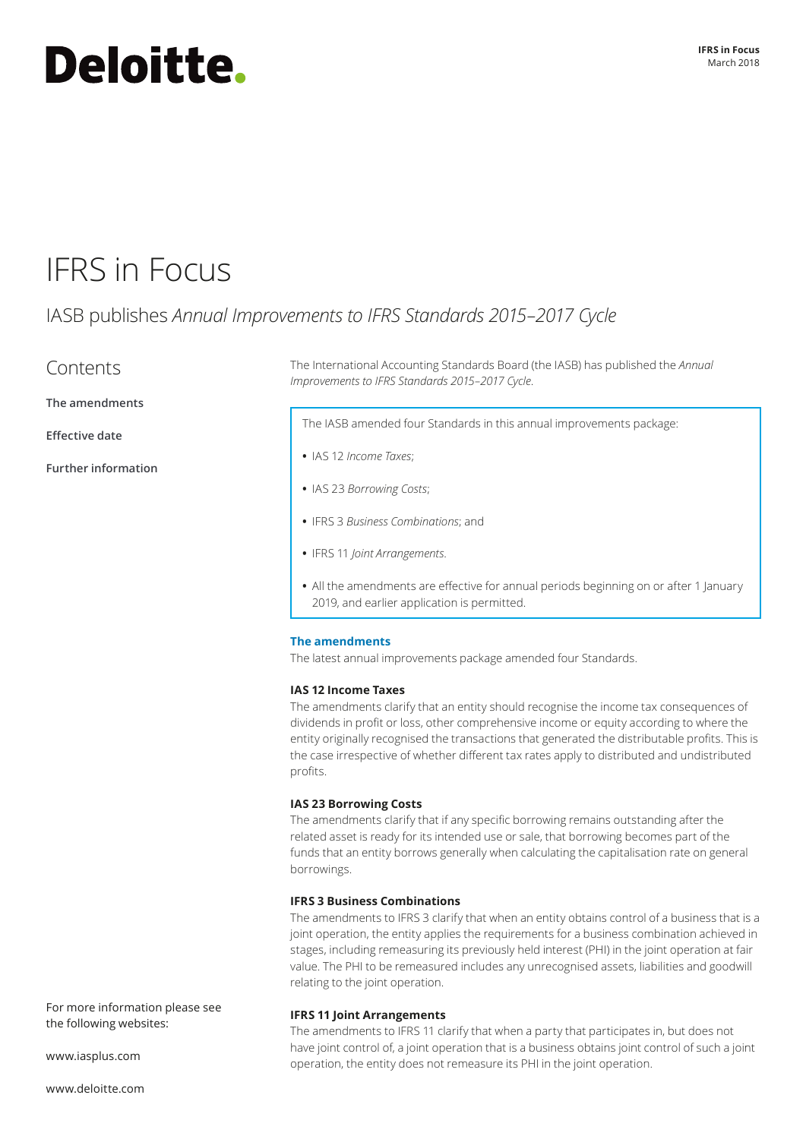# **Deloitte.**

## IFRS in Focus

### IASB publishes *Annual Improvements to IFRS Standards 2015–2017 Cycle*

### Contents

**[The amendments](#page-0-0)**

**[Effective date](#page-1-0)**

**[Further information](#page-1-1)**

The International Accounting Standards Board (the IASB) has published the *Annual Improvements to IFRS Standards 2015–2017 Cycle*.

The IASB amended four Standards in this annual improvements package:

- **•** IAS 12 *Income Taxes*;
- **•** IAS 23 *Borrowing Costs*;
- **•** IFRS 3 *Business Combinations*; and
- **•** IFRS 11 *Joint Arrangements*.
- **•** All the amendments are effective for annual periods beginning on or after 1 January 2019, and earlier application is permitted.

#### <span id="page-0-0"></span>**The amendments**

The latest annual improvements package amended four Standards.

#### **IAS 12 Income Taxes**

The amendments clarify that an entity should recognise the income tax consequences of dividends in profit or loss, other comprehensive income or equity according to where the entity originally recognised the transactions that generated the distributable profits. This is the case irrespective of whether different tax rates apply to distributed and undistributed profits.

#### **IAS 23 Borrowing Costs**

The amendments clarify that if any specific borrowing remains outstanding after the related asset is ready for its intended use or sale, that borrowing becomes part of the funds that an entity borrows generally when calculating the capitalisation rate on general borrowings.

#### **IFRS 3 Business Combinations**

The amendments to IFRS 3 clarify that when an entity obtains control of a business that is a joint operation, the entity applies the requirements for a business combination achieved in stages, including remeasuring its previously held interest (PHI) in the joint operation at fair value. The PHI to be remeasured includes any unrecognised assets, liabilities and goodwill relating to the joint operation.

#### **IFRS 11 Joint Arrangements**

The amendments to IFRS 11 clarify that when a party that participates in, but does not have joint control of, a joint operation that is a business obtains joint control of such a joint operation, the entity does not remeasure its PHI in the joint operation.

For more information please see the following websites:

[www.iasplus.com](http://www.iasplus.com)

[www.deloitte.com](http://www.deloitte.com)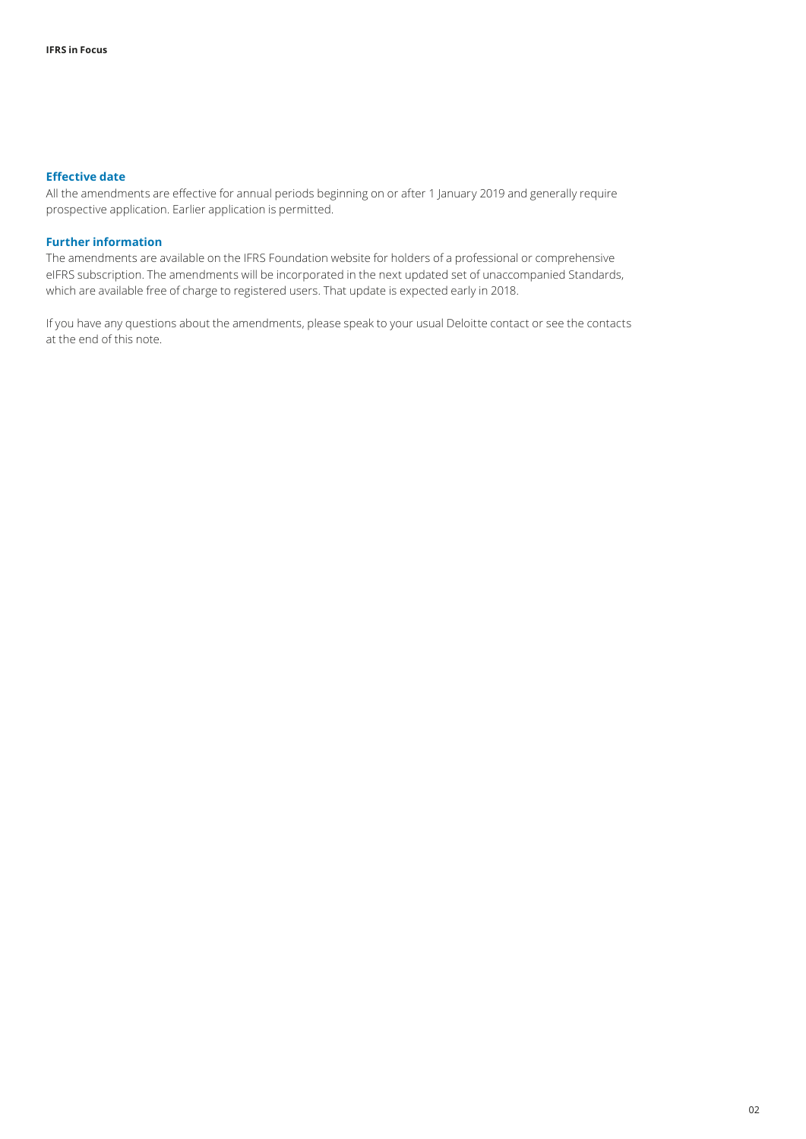#### <span id="page-1-0"></span>**Effective date**

All the amendments are effective for annual periods beginning on or after 1 January 2019 and generally require prospective application. Earlier application is permitted.

#### <span id="page-1-1"></span>**Further information**

The amendments are available on the IFRS Foundation website for holders of a professional or comprehensive eIFRS subscription. The amendments will be incorporated in the next updated set of unaccompanied Standards, which are available free of charge to registered users. That update is expected early in 2018.

If you have any questions about the amendments, please speak to your usual Deloitte contact or see the contacts at the end of this note.